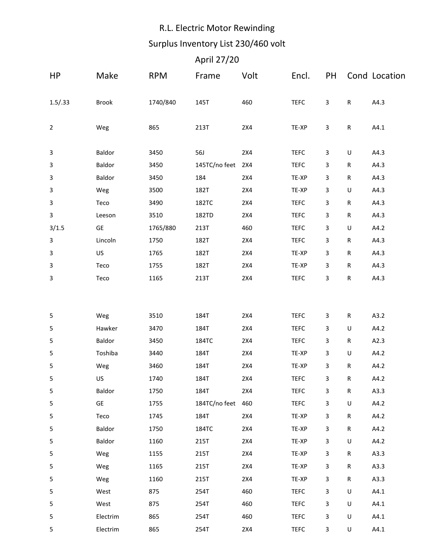## R.L. Electric Motor Rewinding

## Surplus Inventory List 230/460 volt

## April 27/20

| <b>HP</b>      | Make      | <b>RPM</b> | Frame         | Volt | Encl.       | <b>PH</b>               |              | Cond Location |
|----------------|-----------|------------|---------------|------|-------------|-------------------------|--------------|---------------|
| 1.5/0.33       | Brook     | 1740/840   | 145T          | 460  | <b>TEFC</b> | $\mathsf{3}$            | $\mathsf{R}$ | A4.3          |
| $\overline{2}$ | Weg       | 865        | 213T          | 2X4  | TE-XP       | $\mathsf{3}$            | $\mathsf{R}$ | A4.1          |
| 3              | Baldor    | 3450       | 56J           | 2X4  | <b>TEFC</b> | 3                       | U            | A4.3          |
| 3              | Baldor    | 3450       | 145TC/no feet | 2X4  | <b>TEFC</b> | 3                       | R            | A4.3          |
| 3              | Baldor    | 3450       | 184           | 2X4  | TE-XP       | 3                       | R            | A4.3          |
| 3              | Weg       | 3500       | 182T          | 2X4  | TE-XP       | 3                       | U            | A4.3          |
| 3              | Teco      | 3490       | 182TC         | 2X4  | <b>TEFC</b> | 3                       | R            | A4.3          |
| 3              | Leeson    | 3510       | 182TD         | 2X4  | <b>TEFC</b> | 3                       | R            | A4.3          |
| 3/1.5          | GE        | 1765/880   | 213T          | 460  | <b>TEFC</b> | 3                       | U            | A4.2          |
| 3              | Lincoln   | 1750       | 182T          | 2X4  | <b>TEFC</b> | 3                       | R            | A4.3          |
| 3              | US        | 1765       | 182T          | 2X4  | TE-XP       | 3                       | R            | A4.3          |
| $\mathbf{3}$   | Teco      | 1755       | 182T          | 2X4  | TE-XP       | 3                       | R            | A4.3          |
| 3              | Teco      | 1165       | 213T          | 2X4  | <b>TEFC</b> | 3                       | $\mathsf R$  | A4.3          |
|                |           |            |               |      |             |                         |              |               |
| 5              | Weg       | 3510       | 184T          | 2X4  | <b>TEFC</b> | 3                       | $\mathsf{R}$ | A3.2          |
| 5              | Hawker    | 3470       | 184T          | 2X4  | <b>TEFC</b> | 3                       | U            | A4.2          |
| 5              | Baldor    | 3450       | 184TC         | 2X4  | <b>TEFC</b> | 3                       | R            | A2.3          |
| 5              | Toshiba   | 3440       | 184T          | 2X4  | TE-XP       | 3                       | U            | A4.2          |
| 5              | Weg       | 3460       | 184T          | 2X4  | TE-XP       | 3                       | $\mathsf{R}$ | A4.2          |
| 5              | <b>US</b> | 1740       | 184T          | 2X4  | <b>TEFC</b> | $\overline{\mathbf{3}}$ | $\mathsf{R}$ | A4.2          |
| 5              | Baldor    | 1750       | 184T          | 2X4  | <b>TEFC</b> | 3                       | R            | A3.3          |
| 5              | GE        | 1755       | 184TC/no feet | 460  | <b>TEFC</b> | 3                       | U            | A4.2          |
| 5              | Teco      | 1745       | 184T          | 2X4  | TE-XP       | 3                       | R            | A4.2          |
| 5              | Baldor    | 1750       | 184TC         | 2X4  | TE-XP       | 3                       | R            | A4.2          |
| 5              | Baldor    | 1160       | 215T          | 2X4  | TE-XP       | 3                       | U            | A4.2          |
| 5              | Weg       | 1155       | 215T          | 2X4  | TE-XP       | 3                       | R            | A3.3          |
| 5              | Weg       | 1165       | 215T          | 2X4  | TE-XP       | 3                       | R            | A3.3          |
| 5              | Weg       | 1160       | 215T          | 2X4  | TE-XP       | 3                       | R            | A3.3          |
| 5              | West      | 875        | 254T          | 460  | <b>TEFC</b> | 3                       | U            | A4.1          |
| 5              | West      | 875        | 254T          | 460  | <b>TEFC</b> | 3                       | U            | A4.1          |
| 5              | Electrim  | 865        | 254T          | 460  | <b>TEFC</b> | 3                       | U            | A4.1          |
| 5              | Electrim  | 865        | 254T          | 2X4  | <b>TEFC</b> | 3                       | U            | A4.1          |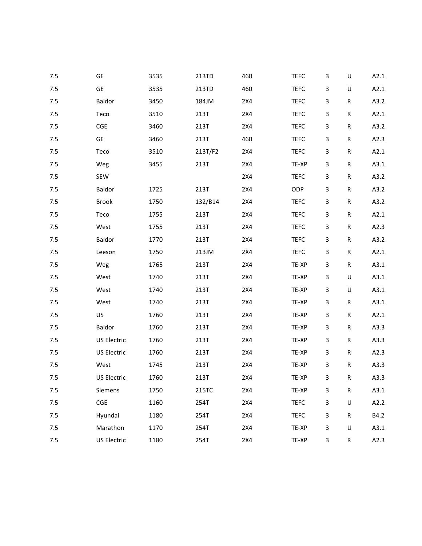| 7.5 | <b>GE</b>    | 3535 | 213TD   | 460 | <b>TEFC</b> | 3            | $\sf U$     | A2.1 |
|-----|--------------|------|---------|-----|-------------|--------------|-------------|------|
| 7.5 | GE           | 3535 | 213TD   | 460 | <b>TEFC</b> | 3            | U           | A2.1 |
| 7.5 | Baldor       | 3450 | 184JM   | 2X4 | <b>TEFC</b> | 3            | R           | A3.2 |
| 7.5 | Teco         | 3510 | 213T    | 2X4 | <b>TEFC</b> | 3            | ${\sf R}$   | A2.1 |
| 7.5 | CGE          | 3460 | 213T    | 2X4 | <b>TEFC</b> | 3            | R           | A3.2 |
| 7.5 | GE           | 3460 | 213T    | 460 | <b>TEFC</b> | 3            | ${\sf R}$   | A2.3 |
| 7.5 | Teco         | 3510 | 213T/F2 | 2X4 | <b>TEFC</b> | 3            | R           | A2.1 |
| 7.5 | Weg          | 3455 | 213T    | 2X4 | TE-XP       | 3            | R           | A3.1 |
| 7.5 | SEW          |      |         | 2X4 | <b>TEFC</b> | 3            | R           | A3.2 |
| 7.5 | Baldor       | 1725 | 213T    | 2X4 | ODP         | 3            | R           | A3.2 |
| 7.5 | <b>Brook</b> | 1750 | 132/B14 | 2X4 | <b>TEFC</b> | 3            | R           | A3.2 |
| 7.5 | Teco         | 1755 | 213T    | 2X4 | <b>TEFC</b> | 3            | R           | A2.1 |
| 7.5 | West         | 1755 | 213T    | 2X4 | <b>TEFC</b> | 3            | ${\sf R}$   | A2.3 |
| 7.5 | Baldor       | 1770 | 213T    | 2X4 | <b>TEFC</b> | 3            | ${\sf R}$   | A3.2 |
| 7.5 | Leeson       | 1750 | 213JM   | 2X4 | <b>TEFC</b> | 3            | ${\sf R}$   | A2.1 |
| 7.5 | Weg          | 1765 | 213T    | 2X4 | TE-XP       | 3            | ${\sf R}$   | A3.1 |
| 7.5 | West         | 1740 | 213T    | 2X4 | TE-XP       | 3            | U           | A3.1 |
| 7.5 | West         | 1740 | 213T    | 2X4 | TE-XP       | 3            | U           | A3.1 |
| 7.5 | West         | 1740 | 213T    | 2X4 | TE-XP       | 3            | ${\sf R}$   | A3.1 |
| 7.5 | US           | 1760 | 213T    | 2X4 | TE-XP       | 3            | ${\sf R}$   | A2.1 |
| 7.5 | Baldor       | 1760 | 213T    | 2X4 | TE-XP       | 3            | ${\sf R}$   | A3.3 |
| 7.5 | US Electric  | 1760 | 213T    | 2X4 | TE-XP       | 3            | ${\sf R}$   | A3.3 |
| 7.5 | US Electric  | 1760 | 213T    | 2X4 | TE-XP       | 3            | ${\sf R}$   | A2.3 |
| 7.5 | West         | 1745 | 213T    | 2X4 | TE-XP       | 3            | ${\sf R}$   | A3.3 |
| 7.5 | US Electric  | 1760 | 213T    | 2X4 | TE-XP       | 3            | R           | A3.3 |
| 7.5 | Siemens      | 1750 | 215TC   | 2X4 | TE-XP       | 3            | $\mathsf R$ | A3.1 |
| 7.5 | CGE          | 1160 | 254T    | 2X4 | <b>TEFC</b> | 3            | U           | A2.2 |
| 7.5 | Hyundai      | 1180 | 254T    | 2X4 | <b>TEFC</b> | 3            | R           | B4.2 |
| 7.5 | Marathon     | 1170 | 254T    | 2X4 | TE-XP       | 3            | U           | A3.1 |
| 7.5 | US Electric  | 1180 | 254T    | 2X4 | TE-XP       | $\mathsf{3}$ | R           | A2.3 |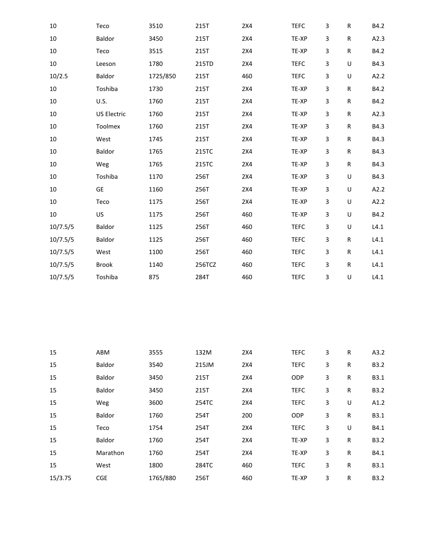| 10       | Teco               | 3510     | 215T   | 2X4 | <b>TEFC</b> | 3 | ${\sf R}$ | B4.2 |
|----------|--------------------|----------|--------|-----|-------------|---|-----------|------|
| 10       | Baldor             | 3450     | 215T   | 2X4 | TE-XP       | 3 | ${\sf R}$ | A2.3 |
| 10       | Teco               | 3515     | 215T   | 2X4 | TE-XP       | 3 | ${\sf R}$ | B4.2 |
| 10       | Leeson             | 1780     | 215TD  | 2X4 | <b>TEFC</b> | 3 | U         | B4.3 |
| 10/2.5   | Baldor             | 1725/850 | 215T   | 460 | <b>TEFC</b> | 3 | U         | A2.2 |
| 10       | Toshiba            | 1730     | 215T   | 2X4 | TE-XP       | 3 | ${\sf R}$ | B4.2 |
| 10       | U.S.               | 1760     | 215T   | 2X4 | TE-XP       | 3 | ${\sf R}$ | B4.2 |
| 10       | <b>US Electric</b> | 1760     | 215T   | 2X4 | TE-XP       | 3 | ${\sf R}$ | A2.3 |
| $10\,$   | Toolmex            | 1760     | 215T   | 2X4 | TE-XP       | 3 | ${\sf R}$ | B4.3 |
| 10       | West               | 1745     | 215T   | 2X4 | TE-XP       | 3 | ${\sf R}$ | B4.3 |
| 10       | Baldor             | 1765     | 215TC  | 2X4 | TE-XP       | 3 | ${\sf R}$ | B4.3 |
| 10       | Weg                | 1765     | 215TC  | 2X4 | TE-XP       | 3 | ${\sf R}$ | B4.3 |
| 10       | Toshiba            | 1170     | 256T   | 2X4 | TE-XP       | 3 | U         | B4.3 |
| 10       | <b>GE</b>          | 1160     | 256T   | 2X4 | TE-XP       | 3 | $\sf U$   | A2.2 |
| $10\,$   | Teco               | 1175     | 256T   | 2X4 | TE-XP       | 3 | $\sf U$   | A2.2 |
| 10       | US                 | 1175     | 256T   | 460 | TE-XP       | 3 | U         | B4.2 |
| 10/7.5/5 | Baldor             | 1125     | 256T   | 460 | <b>TEFC</b> | 3 | U         | L4.1 |
| 10/7.5/5 | <b>Baldor</b>      | 1125     | 256T   | 460 | <b>TEFC</b> | 3 | ${\sf R}$ | L4.1 |
| 10/7.5/5 | West               | 1100     | 256T   | 460 | <b>TEFC</b> | 3 | ${\sf R}$ | L4.1 |
| 10/7.5/5 | <b>Brook</b>       | 1140     | 256TCZ | 460 | <b>TEFC</b> | 3 | ${\sf R}$ | L4.1 |
| 10/7.5/5 | Toshiba            | 875      | 284T   | 460 | <b>TEFC</b> | 3 | U         | L4.1 |

| 15      | ABM        | 3555     | 132M  | 2X4 | <b>TEFC</b> | 3 | R           | A3.2        |
|---------|------------|----------|-------|-----|-------------|---|-------------|-------------|
| 15      | Baldor     | 3540     | 215JM | 2X4 | <b>TEFC</b> | 3 | R           | <b>B3.2</b> |
| 15      | Baldor     | 3450     | 215T  | 2X4 | ODP         | 3 | R           | <b>B3.1</b> |
| 15      | Baldor     | 3450     | 215T  | 2X4 | <b>TEFC</b> | 3 | R           | <b>B3.2</b> |
| 15      | Weg        | 3600     | 254TC | 2X4 | <b>TEFC</b> | 3 | U           | A1.2        |
| 15      | Baldor     | 1760     | 254T  | 200 | ODP         | 3 | R           | B3.1        |
| 15      | Teco       | 1754     | 254T  | 2X4 | <b>TEFC</b> | 3 | U           | B4.1        |
| 15      | Baldor     | 1760     | 254T  | 2X4 | TE-XP       | 3 | $\mathsf R$ | <b>B3.2</b> |
| 15      | Marathon   | 1760     | 254T  | 2X4 | TE-XP       | 3 | R           | B4.1        |
| 15      | West       | 1800     | 284TC | 460 | <b>TEFC</b> | 3 | R           | <b>B3.1</b> |
| 15/3.75 | <b>CGE</b> | 1765/880 | 256T  | 460 | TE-XP       | 3 | R           | <b>B3.2</b> |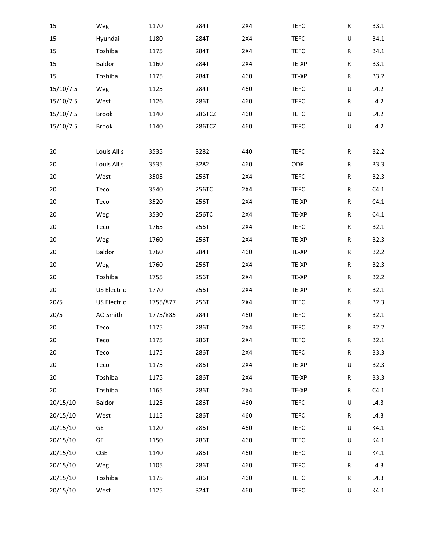| 15        | Weg          | 1170     | 284T   | 2X4 | <b>TEFC</b> | ${\sf R}$ | B3.1             |
|-----------|--------------|----------|--------|-----|-------------|-----------|------------------|
| 15        | Hyundai      | 1180     | 284T   | 2X4 | <b>TEFC</b> | $\sf U$   | B4.1             |
| 15        | Toshiba      | 1175     | 284T   | 2X4 | <b>TEFC</b> | ${\sf R}$ | B4.1             |
| 15        | Baldor       | 1160     | 284T   | 2X4 | TE-XP       | ${\sf R}$ | B3.1             |
| 15        | Toshiba      | 1175     | 284T   | 460 | TE-XP       | ${\sf R}$ | <b>B3.2</b>      |
| 15/10/7.5 | Weg          | 1125     | 284T   | 460 | <b>TEFC</b> | $\sf U$   | L4.2             |
| 15/10/7.5 | West         | 1126     | 286T   | 460 | <b>TEFC</b> | ${\sf R}$ | L4.2             |
| 15/10/7.5 | <b>Brook</b> | 1140     | 286TCZ | 460 | <b>TEFC</b> | $\sf U$   | L4.2             |
| 15/10/7.5 | <b>Brook</b> | 1140     | 286TCZ | 460 | <b>TEFC</b> | $\sf U$   | L4.2             |
|           |              |          |        |     |             |           |                  |
| 20        | Louis Allis  | 3535     | 3282   | 440 | <b>TEFC</b> | ${\sf R}$ | B2.2             |
| 20        | Louis Allis  | 3535     | 3282   | 460 | ODP         | ${\sf R}$ | B3.3             |
| 20        | West         | 3505     | 256T   | 2X4 | <b>TEFC</b> | ${\sf R}$ | B2.3             |
| 20        | Teco         | 3540     | 256TC  | 2X4 | <b>TEFC</b> | ${\sf R}$ | C4.1             |
| 20        | Teco         | 3520     | 256T   | 2X4 | TE-XP       | ${\sf R}$ | C4.1             |
| 20        | Weg          | 3530     | 256TC  | 2X4 | TE-XP       | ${\sf R}$ | C4.1             |
| 20        | Teco         | 1765     | 256T   | 2X4 | <b>TEFC</b> | ${\sf R}$ | B2.1             |
| 20        | Weg          | 1760     | 256T   | 2X4 | TE-XP       | ${\sf R}$ | B2.3             |
| 20        | Baldor       | 1760     | 284T   | 460 | TE-XP       | ${\sf R}$ | B2.2             |
| 20        | Weg          | 1760     | 256T   | 2X4 | TE-XP       | ${\sf R}$ | B2.3             |
| 20        | Toshiba      | 1755     | 256T   | 2X4 | TE-XP       | ${\sf R}$ | B <sub>2.2</sub> |
| 20        | US Electric  | 1770     | 256T   | 2X4 | TE-XP       | ${\sf R}$ | B2.1             |
| 20/5      | US Electric  | 1755/877 | 256T   | 2X4 | <b>TEFC</b> | ${\sf R}$ | B2.3             |
| 20/5      | AO Smith     | 1775/885 | 284T   | 460 | <b>TEFC</b> | ${\sf R}$ | B2.1             |
| 20        | Teco         | 1175     | 286T   | 2X4 | <b>TEFC</b> | R         | B2.2             |
| 20        | Teco         | 1175     | 286T   | 2X4 | <b>TEFC</b> | ${\sf R}$ | B2.1             |
| 20        | Teco         | 1175     | 286T   | 2X4 | <b>TEFC</b> | ${\sf R}$ | B3.3             |
| 20        | Teco         | 1175     | 286T   | 2X4 | TE-XP       | U         | B2.3             |
| 20        | Toshiba      | 1175     | 286T   | 2X4 | TE-XP       | ${\sf R}$ | <b>B3.3</b>      |
| 20        | Toshiba      | 1165     | 286T   | 2X4 | TE-XP       | ${\sf R}$ | C4.1             |
| 20/15/10  | Baldor       | 1125     | 286T   | 460 | <b>TEFC</b> | U         | L4.3             |
| 20/15/10  | West         | 1115     | 286T   | 460 | <b>TEFC</b> | ${\sf R}$ | L4.3             |
| 20/15/10  | <b>GE</b>    | 1120     | 286T   | 460 | <b>TEFC</b> | $\sf U$   | K4.1             |
| 20/15/10  | GE           | 1150     | 286T   | 460 | <b>TEFC</b> | $\sf U$   | K4.1             |
| 20/15/10  | CGE          | 1140     | 286T   | 460 | <b>TEFC</b> | $\sf U$   | K4.1             |
| 20/15/10  | Weg          | 1105     | 286T   | 460 | <b>TEFC</b> | ${\sf R}$ | L4.3             |
| 20/15/10  | Toshiba      | 1175     | 286T   | 460 | <b>TEFC</b> | ${\sf R}$ | L4.3             |
| 20/15/10  | West         | 1125     | 324T   | 460 | <b>TEFC</b> | $\sf U$   | K4.1             |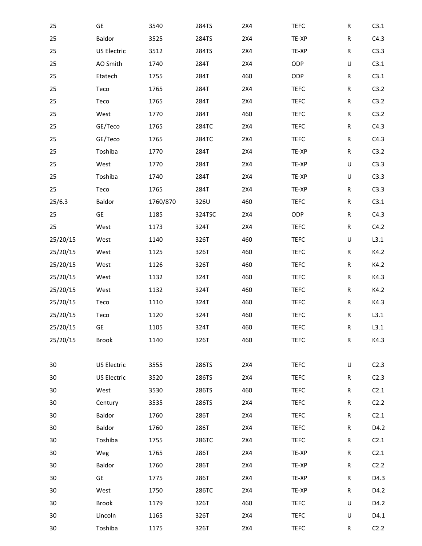| 25       | GE           | 3540     | 284TS  | 2X4 | <b>TEFC</b> | R         | C3.1             |
|----------|--------------|----------|--------|-----|-------------|-----------|------------------|
| 25       | Baldor       | 3525     | 284TS  | 2X4 | TE-XP       | ${\sf R}$ | C4.3             |
| 25       | US Electric  | 3512     | 284TS  | 2X4 | TE-XP       | R         | C3.3             |
| 25       | AO Smith     | 1740     | 284T   | 2X4 | ODP         | U         | C3.1             |
| 25       | Etatech      | 1755     | 284T   | 460 | ODP         | ${\sf R}$ | C3.1             |
| 25       | Teco         | 1765     | 284T   | 2X4 | <b>TEFC</b> | R         | C3.2             |
| 25       | Teco         | 1765     | 284T   | 2X4 | <b>TEFC</b> | ${\sf R}$ | C3.2             |
| 25       | West         | 1770     | 284T   | 460 | <b>TEFC</b> | R         | C3.2             |
| 25       | GE/Teco      | 1765     | 284TC  | 2X4 | <b>TEFC</b> | ${\sf R}$ | C4.3             |
| 25       | GE/Teco      | 1765     | 284TC  | 2X4 | <b>TEFC</b> | R         | C4.3             |
| 25       | Toshiba      | 1770     | 284T   | 2X4 | TE-XP       | ${\sf R}$ | C3.2             |
| 25       | West         | 1770     | 284T   | 2X4 | TE-XP       | U         | C3.3             |
| 25       | Toshiba      | 1740     | 284T   | 2X4 | TE-XP       | U         | C3.3             |
| 25       | Teco         | 1765     | 284T   | 2X4 | TE-XP       | ${\sf R}$ | C3.3             |
| 25/6.3   | Baldor       | 1760/870 | 326U   | 460 | <b>TEFC</b> | ${\sf R}$ | C3.1             |
| 25       | <b>GE</b>    | 1185     | 324TSC | 2X4 | ODP         | ${\sf R}$ | C4.3             |
| 25       | West         | 1173     | 324T   | 2X4 | <b>TEFC</b> | ${\sf R}$ | C4.2             |
| 25/20/15 | West         | 1140     | 326T   | 460 | <b>TEFC</b> | U         | L3.1             |
| 25/20/15 | West         | 1125     | 326T   | 460 | <b>TEFC</b> | ${\sf R}$ | K4.2             |
| 25/20/15 | West         | 1126     | 326T   | 460 | <b>TEFC</b> | ${\sf R}$ | K4.2             |
| 25/20/15 | West         | 1132     | 324T   | 460 | <b>TEFC</b> | ${\sf R}$ | K4.3             |
| 25/20/15 | West         | 1132     | 324T   | 460 | <b>TEFC</b> | ${\sf R}$ | K4.2             |
| 25/20/15 | Teco         | 1110     | 324T   | 460 | <b>TEFC</b> | ${\sf R}$ | K4.3             |
| 25/20/15 | Teco         | 1120     | 324T   | 460 | <b>TEFC</b> | ${\sf R}$ | L3.1             |
| 25/20/15 | GE           | 1105     | 324T   | 460 | <b>TEFC</b> | R         | L3.1             |
| 25/20/15 | Brook        | 1140     | 326T   | 460 | <b>TEFC</b> | R         | K4.3             |
|          |              |          |        |     |             |           |                  |
| 30       | US Electric  | 3555     | 286TS  | 2X4 | <b>TEFC</b> | U         | C2.3             |
| 30       | US Electric  | 3520     | 286TS  | 2X4 | <b>TEFC</b> | R         | C <sub>2.3</sub> |
| 30       | West         | 3530     | 286TS  | 460 | <b>TEFC</b> | R         | C <sub>2.1</sub> |
| 30       | Century      | 3535     | 286TS  | 2X4 | <b>TEFC</b> | R         | C <sub>2.2</sub> |
| 30       | Baldor       | 1760     | 286T   | 2X4 | <b>TEFC</b> | R         | C <sub>2.1</sub> |
| 30       | Baldor       | 1760     | 286T   | 2X4 | <b>TEFC</b> | R         | D4.2             |
| 30       | Toshiba      | 1755     | 286TC  | 2X4 | <b>TEFC</b> | R         | C <sub>2.1</sub> |
| 30       | Weg          | 1765     | 286T   | 2X4 | TE-XP       | R         | C <sub>2.1</sub> |
| 30       | Baldor       | 1760     | 286T   | 2X4 | TE-XP       | R         | C <sub>2.2</sub> |
| 30       | GE           | 1775     | 286T   | 2X4 | TE-XP       | R         | D4.3             |
| 30       | West         | 1750     | 286TC  | 2X4 | TE-XP       | R         | D4.2             |
| 30       | <b>Brook</b> | 1179     | 326T   | 460 | <b>TEFC</b> | U         | D4.2             |
| 30       | Lincoln      | 1165     | 326T   | 2X4 | <b>TEFC</b> | U         | D4.1             |
| 30       | Toshiba      | 1175     | 326T   | 2X4 | <b>TEFC</b> | R         | C <sub>2.2</sub> |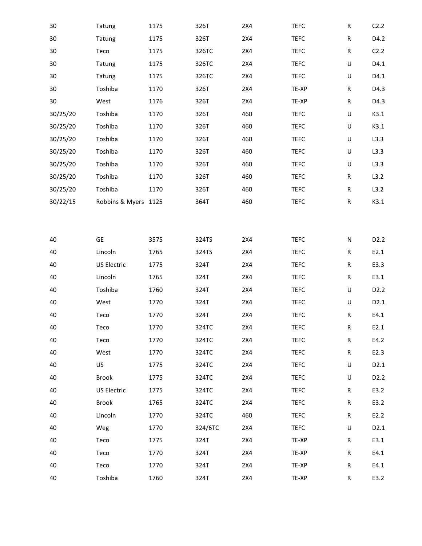| 30       | Tatung               | 1175 | 326T    | 2X4 | <b>TEFC</b> | ${\sf R}$ | C2.2              |
|----------|----------------------|------|---------|-----|-------------|-----------|-------------------|
| 30       | Tatung               | 1175 | 326T    | 2X4 | <b>TEFC</b> | ${\sf R}$ | D4.2              |
| 30       | Teco                 | 1175 | 326TC   | 2X4 | <b>TEFC</b> | ${\sf R}$ | C <sub>2.2</sub>  |
| 30       | Tatung               | 1175 | 326TC   | 2X4 | <b>TEFC</b> | $\sf U$   | D4.1              |
| 30       | Tatung               | 1175 | 326TC   | 2X4 | <b>TEFC</b> | $\sf U$   | D4.1              |
| 30       | Toshiba              | 1170 | 326T    | 2X4 | TE-XP       | ${\sf R}$ | D4.3              |
| 30       | West                 | 1176 | 326T    | 2X4 | TE-XP       | ${\sf R}$ | D4.3              |
| 30/25/20 | Toshiba              | 1170 | 326T    | 460 | <b>TEFC</b> | $\sf U$   | K3.1              |
| 30/25/20 | Toshiba              | 1170 | 326T    | 460 | <b>TEFC</b> | $\sf U$   | K3.1              |
| 30/25/20 | Toshiba              | 1170 | 326T    | 460 | <b>TEFC</b> | $\sf U$   | L3.3              |
| 30/25/20 | Toshiba              | 1170 | 326T    | 460 | <b>TEFC</b> | U         | L3.3              |
| 30/25/20 | Toshiba              | 1170 | 326T    | 460 | <b>TEFC</b> | $\sf U$   | L3.3              |
| 30/25/20 | Toshiba              | 1170 | 326T    | 460 | <b>TEFC</b> | ${\sf R}$ | L3.2              |
| 30/25/20 | Toshiba              | 1170 | 326T    | 460 | <b>TEFC</b> | ${\sf R}$ | L3.2              |
| 30/22/15 | Robbins & Myers 1125 |      | 364T    | 460 | <b>TEFC</b> | ${\sf R}$ | K3.1              |
|          |                      |      |         |     |             |           |                   |
|          |                      |      |         |     |             |           |                   |
| 40       | GE                   | 3575 | 324TS   | 2X4 | <b>TEFC</b> | ${\sf N}$ | D <sub>2.2</sub>  |
| 40       | Lincoln              | 1765 | 324TS   | 2X4 | <b>TEFC</b> | ${\sf R}$ | E2.1              |
| 40       | US Electric          | 1775 | 324T    | 2X4 | <b>TEFC</b> | R         | E3.3              |
| 40       | Lincoln              | 1765 | 324T    | 2X4 | <b>TEFC</b> | ${\sf R}$ | E3.1              |
| 40       | Toshiba              | 1760 | 324T    | 2X4 | <b>TEFC</b> | $\sf U$   | D <sub>2.2</sub>  |
| 40       | West                 | 1770 | 324T    | 2X4 | <b>TEFC</b> | $\sf U$   | D2.1              |
| 40       | Teco                 | 1770 | 324T    | 2X4 | <b>TEFC</b> | ${\sf R}$ | E4.1              |
| 40       | Teco                 | 1770 | 324TC   | 2X4 | <b>TEFC</b> | R         | E2.1              |
| 40       | Teco                 | 1770 | 324TC   | 2X4 | <b>TEFC</b> | ${\sf R}$ | E4.2              |
| 40       | West                 | 1770 | 324TC   | 2X4 | <b>TEFC</b> | ${\sf R}$ | E2.3              |
| 40       | US                   | 1775 | 324TC   | 2X4 | <b>TEFC</b> | $\sf U$   | D2.1              |
| 40       | <b>Brook</b>         | 1775 | 324TC   | 2X4 | <b>TEFC</b> | $\sf U$   | D <sub>2</sub> .2 |
| 40       | <b>US Electric</b>   | 1775 | 324TC   | 2X4 | <b>TEFC</b> | R         | E3.2              |
| 40       | <b>Brook</b>         | 1765 | 324TC   | 2X4 | <b>TEFC</b> | R         | E3.2              |
| 40       | Lincoln              | 1770 | 324TC   | 460 | <b>TEFC</b> | R         | E2.2              |
| 40       | Weg                  | 1770 | 324/6TC | 2X4 | <b>TEFC</b> | U         | D <sub>2.1</sub>  |
| 40       | Teco                 | 1775 | 324T    | 2X4 | TE-XP       | R         | E3.1              |
| 40       | Teco                 | 1770 | 324T    | 2X4 | TE-XP       | R         | E4.1              |
| 40       | Teco                 | 1770 | 324T    | 2X4 | TE-XP       | ${\sf R}$ | E4.1              |
| 40       | Toshiba              | 1760 | 324T    | 2X4 | TE-XP       | R         | E3.2              |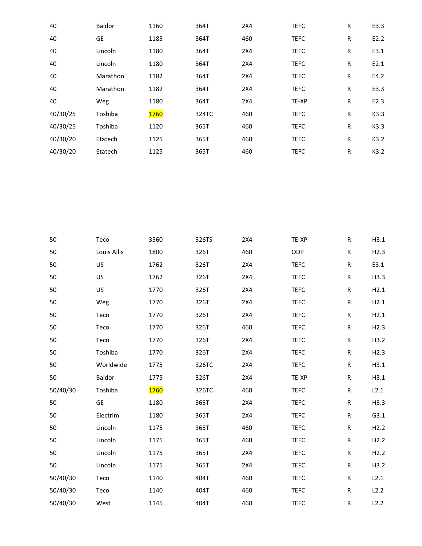| 40       | Baldor   | 1160        | 364T  | 2X4 | <b>TEFC</b> | $\mathsf R$  | E3.3 |
|----------|----------|-------------|-------|-----|-------------|--------------|------|
| 40       | GE       | 1185        | 364T  | 460 | <b>TEFC</b> | R            | E2.2 |
| 40       | Lincoln  | 1180        | 364T  | 2X4 | <b>TEFC</b> | $\mathsf{R}$ | E3.1 |
| 40       | Lincoln  | 1180        | 364T  | 2X4 | <b>TEFC</b> | R            | E2.1 |
| 40       | Marathon | 1182        | 364T  | 2X4 | <b>TEFC</b> | $\mathsf{R}$ | E4.2 |
| 40       | Marathon | 1182        | 364T  | 2X4 | <b>TEFC</b> | $\mathsf R$  | E3.3 |
| 40       | Weg      | 1180        | 364T  | 2X4 | TE-XP       | $\mathsf{R}$ | E2.3 |
| 40/30/25 | Toshiba  | <b>1760</b> | 324TC | 460 | <b>TEFC</b> | $\mathsf R$  | K3.3 |
| 40/30/25 | Toshiba  | 1120        | 365T  | 460 | <b>TEFC</b> | R            | K3.3 |
| 40/30/20 | Etatech  | 1125        | 365T  | 460 | <b>TEFC</b> | $\mathsf R$  | K3.2 |
| 40/30/20 | Etatech  | 1125        | 365T  | 460 | <b>TEFC</b> | R            | K3.2 |

| 50       | Teco        | 3560        | 326TS | 2X4 | TE-XP       | ${\sf R}$ | H3.1 |
|----------|-------------|-------------|-------|-----|-------------|-----------|------|
| 50       | Louis Allis | 1800        | 326T  | 460 | ODP         | ${\sf R}$ | H2.3 |
| 50       | US          | 1762        | 326T  | 2X4 | <b>TEFC</b> | ${\sf R}$ | E3.1 |
| 50       | US          | 1762        | 326T  | 2X4 | <b>TEFC</b> | ${\sf R}$ | H3.3 |
| 50       | US          | 1770        | 326T  | 2X4 | <b>TEFC</b> | ${\sf R}$ | H2.1 |
| 50       | Weg         | 1770        | 326T  | 2X4 | <b>TEFC</b> | ${\sf R}$ | H2.1 |
| 50       | Teco        | 1770        | 326T  | 2X4 | <b>TEFC</b> | ${\sf R}$ | H2.1 |
| 50       | Teco        | 1770        | 326T  | 460 | <b>TEFC</b> | ${\sf R}$ | H2.3 |
| 50       | Teco        | 1770        | 326T  | 2X4 | <b>TEFC</b> | ${\sf R}$ | H3.2 |
| 50       | Toshiba     | 1770        | 326T  | 2X4 | <b>TEFC</b> | ${\sf R}$ | H2.3 |
| 50       | Worldwide   | 1775        | 326TC | 2X4 | <b>TEFC</b> | ${\sf R}$ | H3.1 |
| 50       | Baldor      | 1775        | 326T  | 2X4 | TE-XP       | ${\sf R}$ | H3.1 |
| 50/40/30 | Toshiba     | <b>1760</b> | 326TC | 460 | <b>TEFC</b> | ${\sf R}$ | L2.1 |
| 50       | GE          | 1180        | 365T  | 2X4 | <b>TEFC</b> | ${\sf R}$ | H3.3 |
| 50       | Electrim    | 1180        | 365T  | 2X4 | <b>TEFC</b> | ${\sf R}$ | G3.1 |
| 50       | Lincoln     | 1175        | 365T  | 460 | <b>TEFC</b> | ${\sf R}$ | H2.2 |
| 50       | Lincoln     | 1175        | 365T  | 460 | <b>TEFC</b> | ${\sf R}$ | H2.2 |
| 50       | Lincoln     | 1175        | 365T  | 2X4 | <b>TEFC</b> | ${\sf R}$ | H2.2 |
| 50       | Lincoln     | 1175        | 365T  | 2X4 | <b>TEFC</b> | ${\sf R}$ | H3.2 |
| 50/40/30 | Teco        | 1140        | 404T  | 460 | <b>TEFC</b> | ${\sf R}$ | L2.1 |
| 50/40/30 | Teco        | 1140        | 404T  | 460 | <b>TEFC</b> | ${\sf R}$ | L2.2 |
| 50/40/30 | West        | 1145        | 404T  | 460 | <b>TEFC</b> | ${\sf R}$ | L2.2 |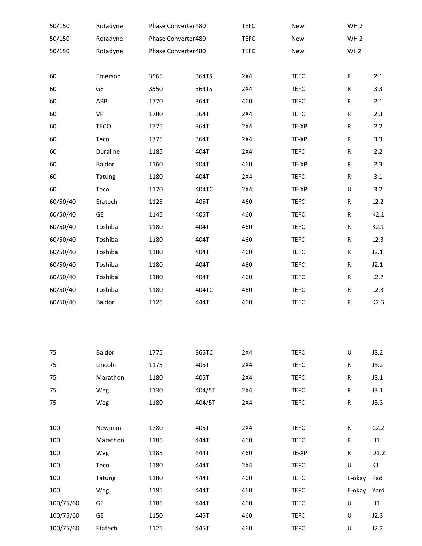| 50/150    | Rotadyne    | Phase Converter480  |        | <b>TEFC</b> | New         | WH <sub>2</sub> |                  |
|-----------|-------------|---------------------|--------|-------------|-------------|-----------------|------------------|
| 50/150    | Rotadyne    | Phase Converter480  |        | <b>TEFC</b> | New         | WH <sub>2</sub> |                  |
| 50/150    | Rotadyne    | Phase Converter 480 |        | <b>TEFC</b> | New         | WH <sub>2</sub> |                  |
|           |             |                     |        |             |             |                 |                  |
| 60        | Emerson     | 3565                | 364TS  | 2X4         | <b>TEFC</b> | R               | 12.1             |
| 60        | <b>GE</b>   | 3550                | 364TS  | 2X4         | <b>TEFC</b> | R               | 13.3             |
| 60        | ABB         | 1770                | 364T   | 460         | <b>TEFC</b> | ${\sf R}$       | 12.1             |
| 60        | <b>VP</b>   | 1780                | 364T   | 2X4         | <b>TEFC</b> | R               | 12.3             |
| 60        | <b>TECO</b> | 1775                | 364T   | 2X4         | TE-XP       | R               | 12.2             |
| 60        | Teco        | 1775                | 364T   | 2X4         | TE-XP       | R               | 13.3             |
| 60        | Duraline    | 1185                | 404T   | 2X4         | <b>TEFC</b> | R               | 12.2             |
| 60        | Baldor      | 1160                | 404T   | 460         | TE-XP       | R               | 12.3             |
| 60        | Tatung      | 1180                | 404T   | 2X4         | <b>TEFC</b> | R               | 13.1             |
| 60        | Teco        | 1170                | 404TC  | 2X4         | TE-XP       | U               | 13.2             |
| 60/50/40  | Etatech     | 1125                | 405T   | 460         | <b>TEFC</b> | R               | L2.2             |
| 60/50/40  | GE          | 1145                | 405T   | 460         | <b>TEFC</b> | R               | K2.1             |
| 60/50/40  | Toshiba     | 1180                | 404T   | 460         | <b>TEFC</b> | R               | K2.1             |
| 60/50/40  | Toshiba     | 1180                | 404T   | 460         | <b>TEFC</b> | R               | L2.3             |
| 60/50/40  | Toshiba     | 1180                | 404T   | 460         | <b>TEFC</b> | R               | J2.1             |
| 60/50/40  | Toshiba     | 1180                | 404T   | 460         | <b>TEFC</b> | R               | J2.1             |
| 60/50/40  | Toshiba     | 1180                | 404T   | 460         | <b>TEFC</b> | R               | L2.2             |
| 60/50/40  | Toshiba     | 1180                | 404TC  | 460         | <b>TEFC</b> | R               | L2.3             |
| 60/50/40  | Baldor      | 1125                | 444T   | 460         | <b>TEFC</b> | ${\sf R}$       | K2.3             |
|           |             |                     |        |             |             |                 |                  |
|           |             |                     |        |             |             |                 |                  |
|           |             |                     |        |             |             |                 |                  |
| 75        | Baldor      | 1775                | 365TC  | 2X4         | <b>TEFC</b> | $\sf U$         | J3.2             |
| 75        | Lincoln     | 1175                | 405T   | 2X4         | <b>TEFC</b> | R               | J3.2             |
| 75        | Marathon    | 1180                | 405T   | 2X4         | <b>TEFC</b> | R               | J3.1             |
| 75        | Weg         | 1130                | 404/5T | 2X4         | <b>TEFC</b> | R               | J3.1             |
| 75        | Weg         | 1180                | 404/5T | 2X4         | <b>TEFC</b> | R               | J3.3             |
|           |             |                     |        |             |             |                 |                  |
| 100       | Newman      | 1780                | 405T   | 2X4         | <b>TEFC</b> | R               | C <sub>2.2</sub> |
| 100       | Marathon    | 1185                | 444T   | 460         | <b>TEFC</b> | R               | H1               |
| 100       | Weg         | 1185                | 444T   | 460         | TE-XP       | R               | D1.2             |
| 100       | Teco        | 1180                | 444T   | 2X4         | <b>TEFC</b> | U               | K1               |
| 100       | Tatung      | 1180                | 444T   | 460         | <b>TEFC</b> | E-okay          | Pad              |
| 100       | Weg         | 1185                | 444T   | 460         | <b>TEFC</b> | E-okay          | Yard             |
| 100/75/60 | <b>GE</b>   | 1185                | 444T   | 460         | <b>TEFC</b> | $\sf U$         | H1               |
| 100/75/60 | GE          | 1150                | 445T   | 460         | <b>TEFC</b> | U               | J2.3             |
| 100/75/60 | Etatech     | 1125                | 445T   | 460         | <b>TEFC</b> | U               | J2.2             |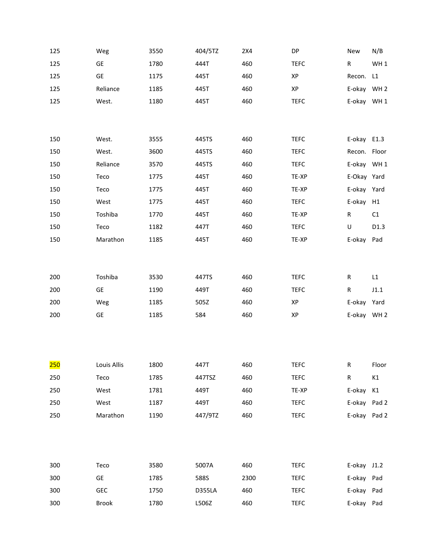| 125 | Weg          | 3550 | 404/5TZ | 2X4  | DP          | New          | N/B             |
|-----|--------------|------|---------|------|-------------|--------------|-----------------|
| 125 | GE           | 1780 | 444T    | 460  | <b>TEFC</b> | R            | WH <sub>1</sub> |
| 125 | GE           | 1175 | 445T    | 460  | ХP          | Recon. L1    |                 |
| 125 | Reliance     | 1185 | 445T    | 460  | ХP          | E-okay WH 2  |                 |
| 125 | West.        | 1180 | 445T    | 460  | <b>TEFC</b> | E-okay WH 1  |                 |
|     |              |      |         |      |             |              |                 |
|     |              |      |         |      |             |              |                 |
| 150 | West.        | 3555 | 445TS   | 460  | <b>TEFC</b> | E-okay E1.3  |                 |
| 150 | West.        | 3600 | 445TS   | 460  | <b>TEFC</b> | Recon. Floor |                 |
| 150 | Reliance     | 3570 | 445TS   | 460  | <b>TEFC</b> | E-okay WH 1  |                 |
| 150 | Teco         | 1775 | 445T    | 460  | TE-XP       | E-Okay Yard  |                 |
| 150 | Teco         | 1775 | 445T    | 460  | TE-XP       | E-okay Yard  |                 |
| 150 | West         | 1775 | 445T    | 460  | <b>TEFC</b> | E-okay H1    |                 |
| 150 | Toshiba      | 1770 | 445T    | 460  | TE-XP       | R            | C1              |
| 150 | Teco         | 1182 | 447T    | 460  | <b>TEFC</b> | U            | D1.3            |
| 150 | Marathon     | 1185 | 445T    | 460  | TE-XP       | E-okay Pad   |                 |
|     |              |      |         |      |             |              |                 |
|     |              |      |         |      |             |              |                 |
| 200 | Toshiba      | 3530 | 447TS   | 460  | <b>TEFC</b> | R            | L1              |
| 200 | <b>GE</b>    | 1190 | 449T    | 460  | <b>TEFC</b> | R            | J1.1            |
| 200 | Weg          | 1185 | 505Z    | 460  | XP          | E-okay       | Yard            |
| 200 | GE           | 1185 | 584     | 460  | XP          | E-okay WH 2  |                 |
|     |              |      |         |      |             |              |                 |
|     |              |      |         |      |             |              |                 |
|     |              |      |         |      |             |              |                 |
| 250 | Louis Allis  | 1800 | 447T    | 460  | <b>TEFC</b> | R            | Floor           |
| 250 | Teco         | 1785 | 447TSZ  | 460  | <b>TEFC</b> | R            | K1              |
| 250 | West         | 1781 | 449T    | 460  | TE-XP       | E-okay       | K1              |
| 250 | West         | 1187 | 449T    | 460  | <b>TEFC</b> | E-okay Pad 2 |                 |
| 250 | Marathon     | 1190 | 447/9TZ | 460  | <b>TEFC</b> | E-okay Pad 2 |                 |
|     |              |      |         |      |             |              |                 |
|     |              |      |         |      |             |              |                 |
|     |              |      |         |      |             |              |                 |
| 300 | Teco         | 3580 | 5007A   | 460  | <b>TEFC</b> | E-okay J1.2  |                 |
| 300 | GE           | 1785 | 588S    | 2300 | <b>TEFC</b> | E-okay Pad   |                 |
| 300 | <b>GEC</b>   | 1750 | D355LA  | 460  | <b>TEFC</b> | E-okay Pad   |                 |
| 300 | <b>Brook</b> | 1780 | L506Z   | 460  | <b>TEFC</b> | E-okay Pad   |                 |